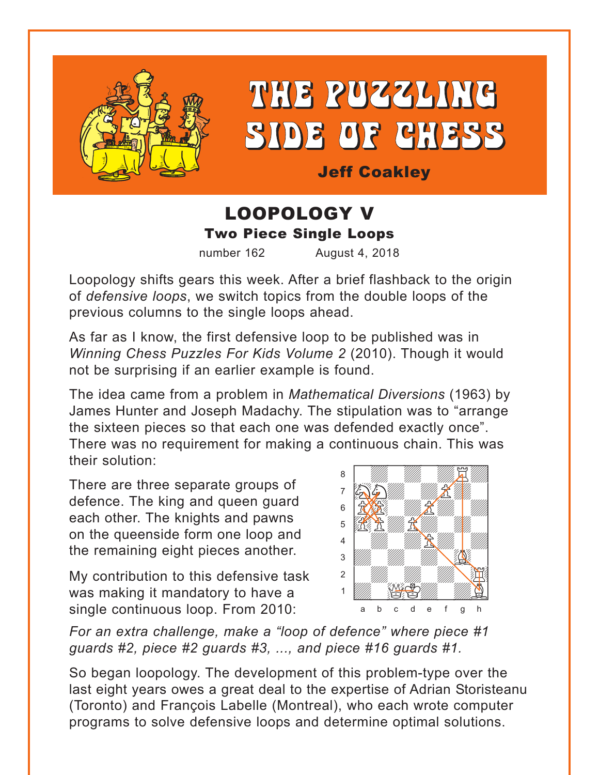

# THE PUZZLING SIDE OF CHESS

Jeff Coakley

## LOOPOLOGY V Two Piece Single Loops

number 162 August 4, 2018

Loopology shifts gears this week. After a brief flashback to the origin of *defensive loops*, we switch topics from the double loops of the previous columns to the single loops ahead.

As far as I know, the first defensive loop to be published was in *Winning Chess Puzzles For Kids Volume 2* (2010). Though it would not be surprising if an earlier example is found.

The idea came from a problem in *Mathematical Diversions* (1963) by James Hunter and Joseph Madachy. The stipulation was to "arrange the sixteen pieces so that each one was defended exactly once". There was no requirement for making a continuous chain. This was their solution: with the set of the set of the set of the set of the set of the set of the set of the set of the set of the set of the set of the set of the set of the set of the set of the set of the set of the set of the set of the set

There are three separate groups of defence. The king and queen guard each other. The knights and pawns on the queenside form one loop and the remaining eight pieces another.

My contribution to this defensive task was making it mandatory to have a single continuous loop. From 2010:



*For an extra challenge, make a "loop of defence" where piece #1 guards #2, piece #2 guards #3, ..., and piece #16 guards #1.*

So began loopology. The development of this problem-type over the last eight years owes a great deal to the expertise of Adrian Storisteanu (Toronto) and François Labelle (Montreal), who each wrote computer programs to solve defensive loops and determine optimal solutions.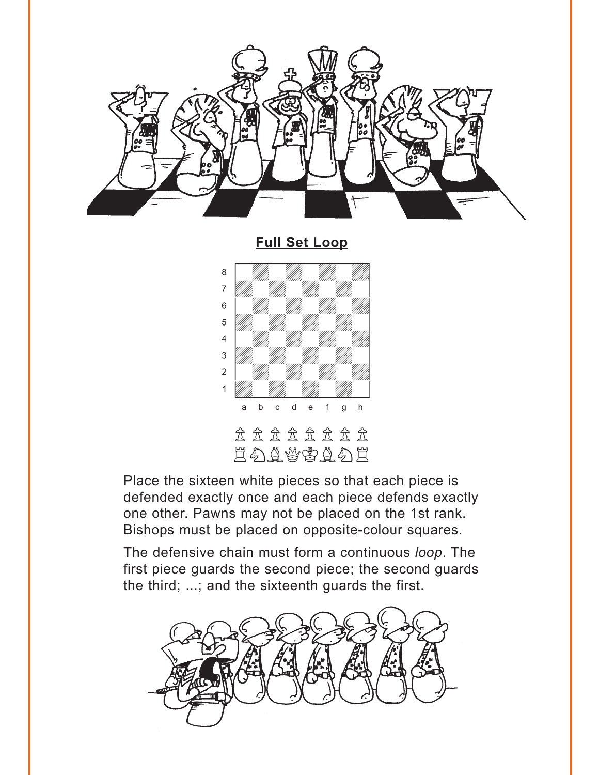<span id="page-1-0"></span>

**[Full Set Loop](#page-4-0)**



Place the sixteen white pieces so that each piece is defended exactly once and each piece defends exactly one other. Pawns may not be placed on the 1st rank. Bishops must be placed on opposite-colour squares.

The defensive chain must form a continuous *loop*. The first piece guards the second piece; the second guards the third; ...; and the sixteenth guards the first.

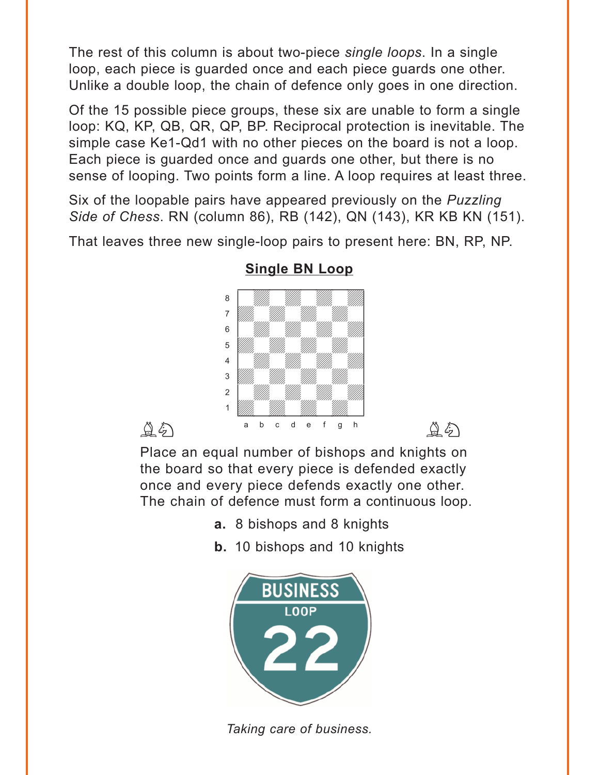<span id="page-2-0"></span>The rest of this column is about two-piece *single loops*. In a single loop, each piece is guarded once and each piece guards one other. Unlike a double loop, the chain of defence only goes in one direction.

Of the 15 possible piece groups, these six are unable to form a single loop: KQ, KP, QB, QR, QP, BP. Reciprocal protection is inevitable. The simple case Ke1-Qd1 with no other pieces on the board is not a loop. Each piece is guarded once and guards one other, but there is no sense of looping. Two points form a line. A loop requires at least three.

Six of the loopable pairs have appeared previously on the *Puzzling Side of Chess*. RN (column 86), RB (142), QN (143), KR KB KN (151).

That leaves three new single-loop pairs to present here: BN, RP, NP.



#### **[Single BN Loop](#page-5-0)**

Place an equal number of bishops and knights on the board so that every piece is defended exactly once and every piece defends exactly one other. The chain of defence must form a continuous loop.

- **a.** 8 bishops and 8 knights
- **b.** 10 bishops and 10 knights



*Taking care of business.*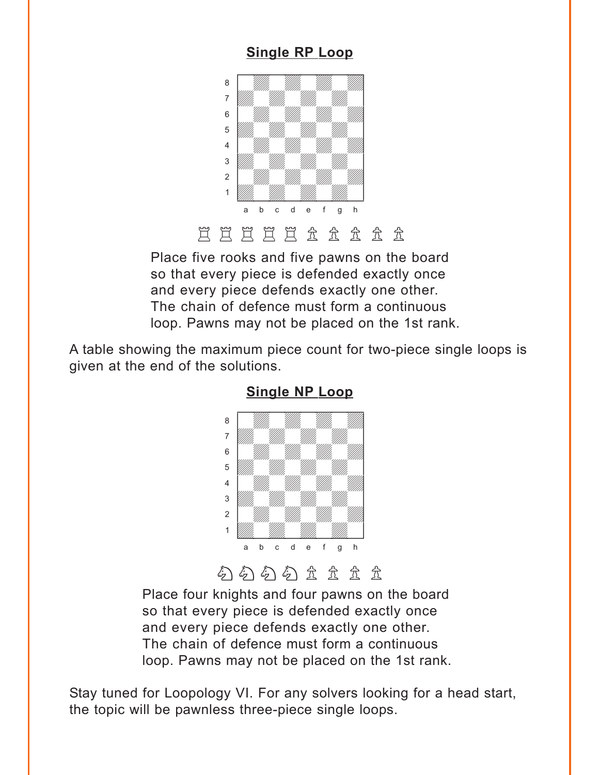#### **[Single RP](#page-7-0) Loop**

<span id="page-3-0"></span>

Place five rooks and five pawns on the board so that every piece is defended exactly once and every piece defends exactly one other. The chain of defence must form a continuous loop. Pawns may not be placed on the 1st rank.

A table showing the maximum piece count for two-piece single loops is given at the end of the solutions.





Place four knights and four pawns on the board so that every piece is defended exactly once and every piece defends exactly one other. The chain of defence must form a continuous loop. Pawns may not be placed on the 1st rank.

Stay tuned for Loopology VI. For any solvers looking for a head start, the topic will be pawnless three-piece single loops.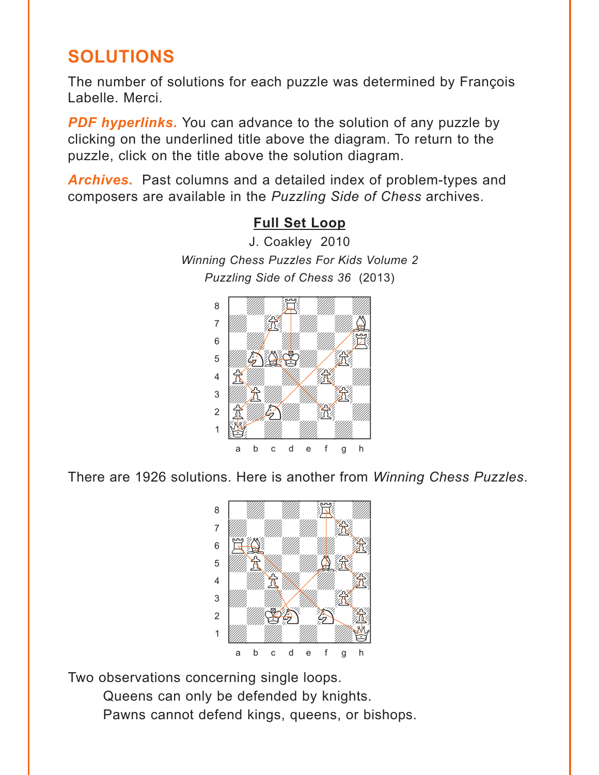## <span id="page-4-0"></span>**SOLUTIONS**

The number of solutions for each puzzle was determined by François Labelle. Merci.

**PDF hyperlinks.** You can advance to the solution of any puzzle by clicking on the underlined title above the diagram. To return to the puzzle, click on the title above the solution diagram.

*Archives***.** Past columns and a detailed index of problem-types and composers are available in the *Puzzling Side of Chess* archives.



There are 1926 solutions. Here is another from *Winning Chess Puzzles*.



Two observations concerning single loops. Queens can only be defended by knights.

Pawns cannot defend kings, queens, or bishops.

### **[Full Set Loop](#page-1-0)**

J. Coakley 2010 *Winning Chess Puzzles For Kids Volume 2 Puzzling Side of Chess 36* (2013)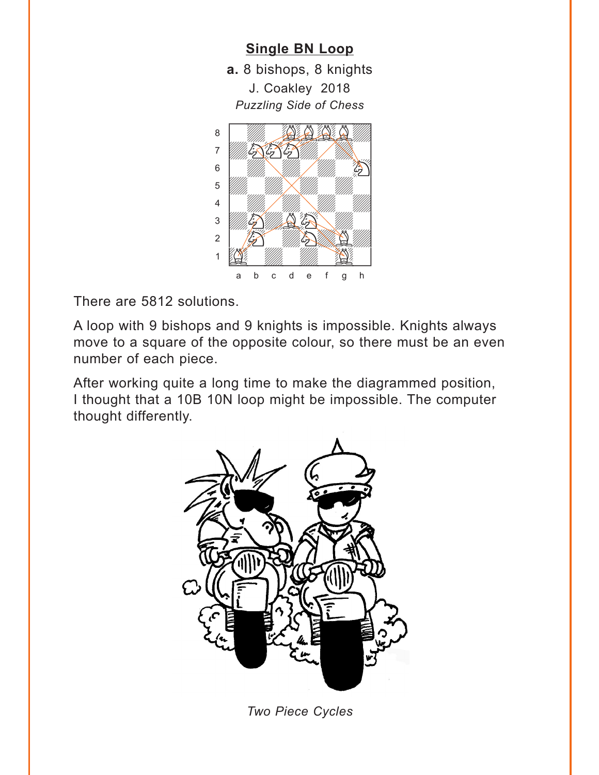<span id="page-5-0"></span>

There are 5812 solutions.

A loop with 9 bishops and 9 knights is impossible. Knights always move to a square of the opposite colour, so there must be an even number of each piece.

After working quite a long time to make the diagrammed position, I thought that a 10B 10N loop might be impossible. The computer thought differently.



*Two Piece Cycles*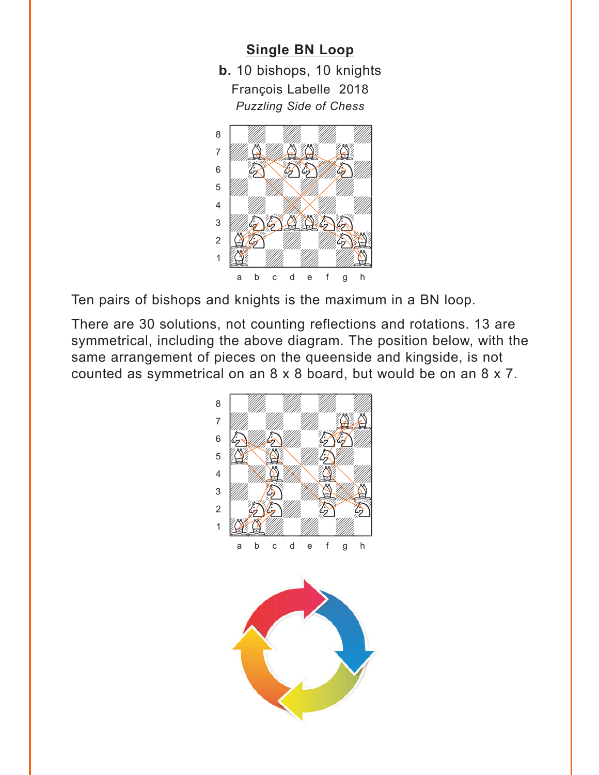#### **[Single BN Loop](#page-2-0)**

**b.** 10 bishops, 10 knights François Labelle 2018 *Puzzling Side of Chess* w\_\_\_\_\_\_\_\_w



Ten pairs of bishops and knights is the maximum in a BN loop.

There are 30 solutions, not counting reflections and rotations. 13 are symmetrical, including the above diagram. The position below, with the same arrangement of pieces on the queenside and kingside, is not counted as symmetrical on an 8 x 8 board, but would be on an 8 x 7.

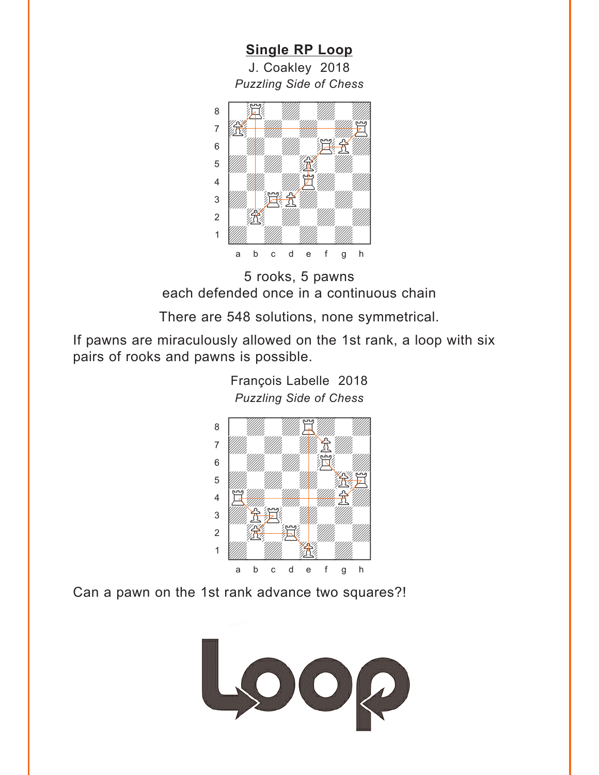<span id="page-7-0"></span>**[Single RP](#page-3-0) Loop** J. Coakley 2018 *Puzzling Side of Chess* w\_\_\_\_\_\_\_\_w





There are 548 solutions, none symmetrical.

If pawns are miraculously allowed on the 1st rank, a loop with six pairs of rooks and pawns is possible.



*Puzzling Side of Chess*

François Labelle 2018

Can a pawn on the 1st rank advance two squares?!

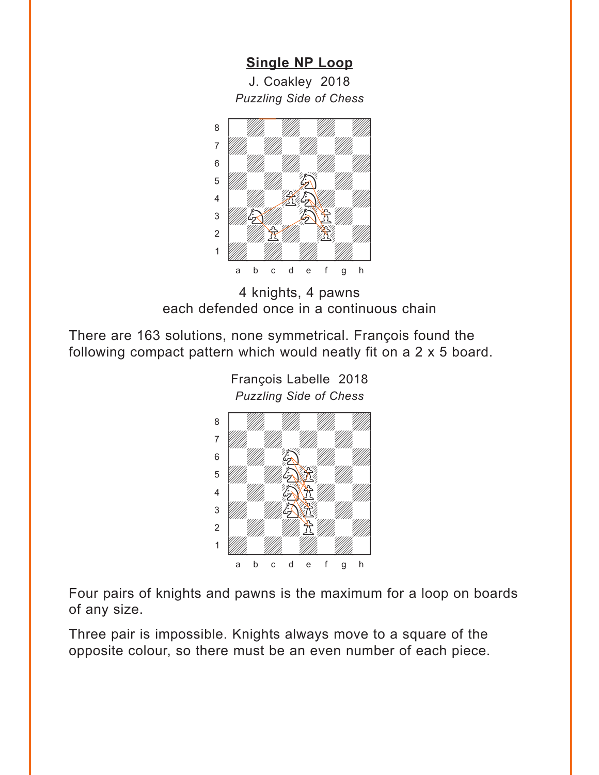**[Single NP](#page-3-0) Loop** J. Coakley 2018 *Puzzling Side of Chess*

<span id="page-8-0"></span>

4 knights, 4 pawns each defended once in a continuous chain

There are 163 solutions, none symmetrical. François found the following compact pattern which would neatly fit on a 2 x 5 board.



François Labelle 2018 *Puzzling Side of Chess* w\_\_\_\_\_\_\_\_w

Four pairs of knights and pawns is the maximum for a loop on boards of any size.

Three pair is impossible. Knights always move to a square of the opposite colour, so there must be an even number of each piece.